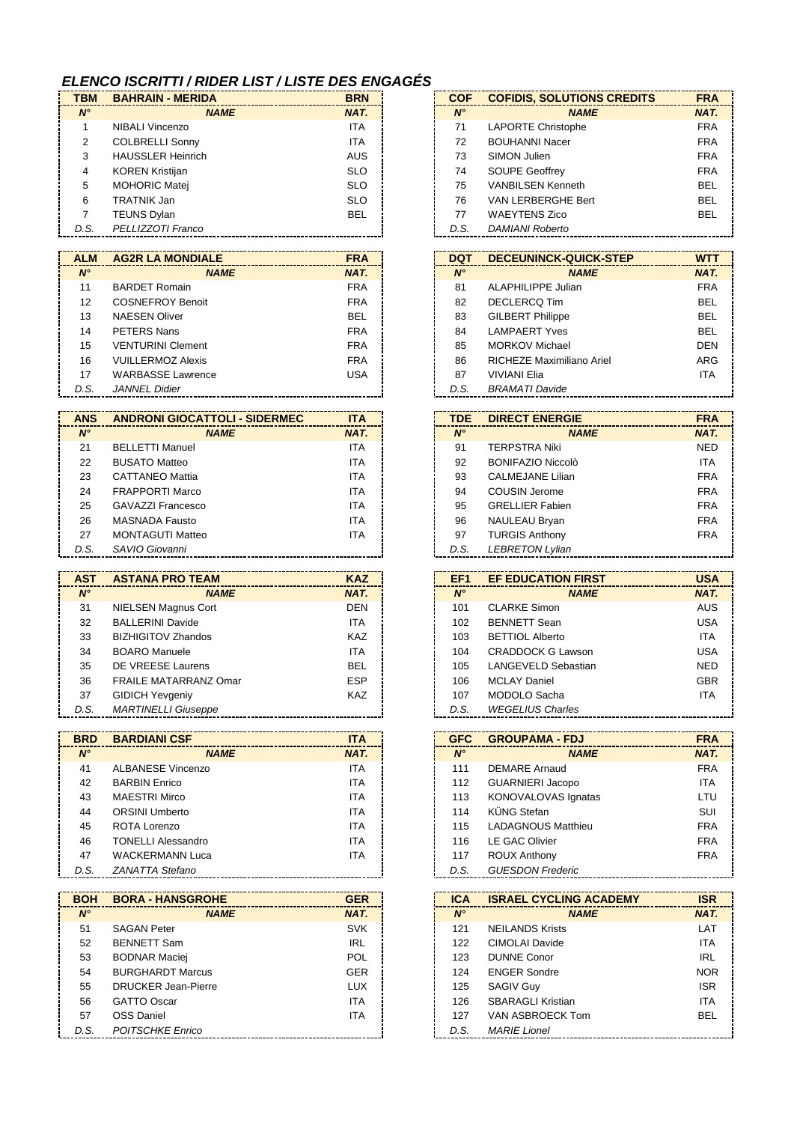## *ELENCO ISCRITTI / RIDER LIST / LISTE DES ENGAGÉS*

| <b>TBM</b>  | <b>BAHRAIN - MERIDA</b>  | <b>BRN</b> | <b>COF</b>  | <b>COFIDIS, SOLUTIONS CREDITS</b> | <b>FRA</b> |
|-------------|--------------------------|------------|-------------|-----------------------------------|------------|
| $N^{\circ}$ | <b>NAME</b>              | NAT.       | $N^{\circ}$ | <b>NAME</b>                       | <b>NAT</b> |
|             | <b>NIBALI Vincenzo</b>   | <b>ITA</b> | 71          | <b>LAPORTE Christophe</b>         | <b>FRA</b> |
| 2           | <b>COLBRELLI Sonny</b>   | <b>ITA</b> | 72          | <b>BOUHANNI Nacer</b>             | <b>FRA</b> |
| 3           | <b>HAUSSLER Heinrich</b> | <b>AUS</b> | 73          | SIMON Julien                      | <b>FRA</b> |
| 4           | <b>KOREN Kristijan</b>   | <b>SLO</b> | 74          | <b>SOUPE Geoffrey</b>             | <b>FRA</b> |
| 5           | <b>MOHORIC Matei</b>     | <b>SLO</b> | 75          | <b>VANBILSEN Kenneth</b>          | <b>BEL</b> |
| 6           | <b>TRATNIK Jan</b>       | <b>SLO</b> | 76          | VAN LERBERGHE Bert                | <b>BEL</b> |
|             | <b>TEUNS Dylan</b>       | <b>BEL</b> | 77          | <b>WAEYTENS Zico</b>              | <b>BEL</b> |
| D.S.        | PELLIZZOTI Franco        |            | D.S.        | <b>DAMIANI Roberto</b>            |            |

| <b>ALM</b>  | <b>AG2R LA MONDIALE</b>  | <b>FRA</b> | <b>DQT</b>  | DECEUNINCK-QUICK-STEP     | <b>WTT</b> |
|-------------|--------------------------|------------|-------------|---------------------------|------------|
| $N^{\circ}$ | <b>NAME</b>              | NAT.       | $N^{\circ}$ | <b>NAME</b>               | NAT.       |
| 11          | <b>BARDET Romain</b>     | <b>FRA</b> | 81          | ALAPHILIPPE Julian        | <b>FRA</b> |
| 12          | <b>COSNEFROY Benoit</b>  | <b>FRA</b> | 82          | DECLERCQ Tim              | <b>BEL</b> |
| 13          | <b>NAESEN Oliver</b>     | <b>BEL</b> | 83          | <b>GILBERT Philippe</b>   | <b>BEL</b> |
| 14          | PETERS Nans              | <b>FRA</b> | 84          | <b>LAMPAERT Yves</b>      | <b>BEL</b> |
| 15          | <b>VENTURINI Clement</b> | <b>FRA</b> | 85          | <b>MORKOV Michael</b>     | <b>DEN</b> |
| 16          | <b>VUILLERMOZ Alexis</b> | <b>FRA</b> | 86          | RICHEZE Maximiliano Ariel | ARG        |
| 17          | <b>WARBASSE Lawrence</b> | USA        | 87          | <b>VIVIANI Elia</b>       |            |
| D.S.        | <b>JANNEL Didier</b>     |            | D.S.        | <b>BRAMATI Davide</b>     |            |

| <b>ANS</b>  | <b>ANDRONI GIOCATTOLI - SIDERMEC</b> | <b>ITA</b> | <b>TDE</b>  | <b>DIRECT ENERGIE</b>    | <b>FRA</b> |
|-------------|--------------------------------------|------------|-------------|--------------------------|------------|
| $N^{\circ}$ | <b>NAME</b>                          | NAT.       | $N^{\circ}$ | <b>NAME</b>              | <b>NAT</b> |
| 21          | <b>BELLETTI Manuel</b>               | <b>ITA</b> | 91          | <b>TERPSTRA Niki</b>     | <b>NED</b> |
| 22          | <b>BUSATO Matteo</b>                 | ITA.       | 92          | <b>BONIFAZIO Niccolò</b> | <b>ITA</b> |
| 23          | <b>CATTANEO Mattia</b>               | <b>ITA</b> | 93          | CALMEJANE Lilian         | <b>FRA</b> |
| 24          | <b>FRAPPORTI Marco</b>               | <b>ITA</b> | 94          | <b>COUSIN Jerome</b>     | <b>FRA</b> |
| 25          | GAVAZZI Francesco                    | <b>ITA</b> | 95          | <b>GRELLIER Fabien</b>   | <b>FRA</b> |
| 26          | MASNADA Fausto                       | <b>ITA</b> | 96          | NAULEAU Bryan            | <b>FRA</b> |
| 27          | <b>MONTAGUTI Matteo</b>              | <b>ITA</b> | 97          | <b>TURGIS Anthony</b>    | <b>FRA</b> |
| D.S.        | SAVIO Giovanni                       |            | D.S.        | <b>LEBRETON Lylian</b>   |            |

| <b>AST</b>  | <b>ASTANA PRO TEAM</b>       | <b>KAZ</b> |
|-------------|------------------------------|------------|
| $N^{\circ}$ | <b>NAME</b>                  | NAT.       |
| 31          | <b>NIELSEN Magnus Cort</b>   | <b>DEN</b> |
| 32          | <b>BALLERINI Davide</b>      | ITA.       |
| 33          | <b>BIZHIGITOV Zhandos</b>    | <b>KAZ</b> |
| 34          | <b>BOARO</b> Manuele         | <b>ITA</b> |
| 35          | DE VREESE Laurens            | <b>BEL</b> |
| 36          | <b>FRAILE MATARRANZ Omar</b> | <b>ESP</b> |
| 37          | <b>GIDICH Yevgeniy</b>       | <b>KAZ</b> |
| D.S.        | <b>MARTINELLI Giuseppe</b>   |            |

| <b>BRD</b>  | <b>BARDIANI CSF</b>       | <b>ITA</b> | <b>GFC</b>  | <b>GROUPAMA - FDJ</b>     | <b>FRA</b> |
|-------------|---------------------------|------------|-------------|---------------------------|------------|
| $N^{\circ}$ | <b>NAME</b>               | NAT.       | $N^{\circ}$ | <b>NAME</b>               | <b>NAT</b> |
| 41          | <b>ALBANESE Vincenzo</b>  | <b>ITA</b> | 111         | <b>DEMARE Arnaud</b>      | <b>FRA</b> |
| 42          | <b>BARBIN Enrico</b>      | <b>ITA</b> | 112         | <b>GUARNIERI Jacopo</b>   | <b>ITA</b> |
| 43          | <b>MAESTRI Mirco</b>      | <b>ITA</b> | 113         | KONOVALOVAS Ignatas       | LTU        |
| 44          | <b>ORSINI Umberto</b>     | <b>ITA</b> | 114         | KÜNG Stefan               | SUI        |
| 45          | ROTA Lorenzo              | <b>ITA</b> | 115         | <b>LADAGNOUS Matthieu</b> | <b>FRA</b> |
| 46          | <b>TONELLI Alessandro</b> | <b>ITA</b> | 116         | LE GAC Olivier            | <b>FRA</b> |
| 47          | <b>WACKERMANN Luca</b>    | <b>ITA</b> | 117         | <b>ROUX Anthony</b>       | <b>FRA</b> |
| D.S.        | ZANATTA Stefano           |            | D.S.        | <b>GUESDON Frederic</b>   |            |

| <b>BOH</b>  | <b>BORA - HANSGROHE</b>    | <b>GER</b> | <b>ICA</b>  | <b>ISRAEL CYCLING ACADEMY</b> |  |
|-------------|----------------------------|------------|-------------|-------------------------------|--|
| $N^{\circ}$ | <b>NAME</b>                | NAT.       | $N^{\circ}$ | <b>NAME</b>                   |  |
| 51          | <b>SAGAN Peter</b>         | <b>SVK</b> | 121         | <b>NEILANDS Krists</b>        |  |
| 52          | <b>BENNETT Sam</b>         | <b>IRL</b> | 122         | CIMOLAI Davide                |  |
| 53          | <b>BODNAR Maciej</b>       | <b>POL</b> | 123         | <b>DUNNE Conor</b>            |  |
| 54          | <b>BURGHARDT Marcus</b>    | <b>GER</b> | 124         | <b>ENGER Sondre</b>           |  |
| 55          | <b>DRUCKER Jean-Pierre</b> | <b>LUX</b> | 125         | <b>SAGIV Guy</b>              |  |
| 56          | <b>GATTO Oscar</b>         | <b>ITA</b> | 126         | <b>SBARAGLI Kristian</b>      |  |
| 57          | OSS Daniel                 | <b>ITA</b> | 127         | VAN ASBROECK Tom              |  |
| D.S.        | <b>POITSCHKE Enrico</b>    |            | D.S.        | <b>MARIE Lionel</b>           |  |

| COF         | <b>COFIDIS, SOLUTIONS CREDITS</b> | <b>FRA</b> |
|-------------|-----------------------------------|------------|
| $N^{\circ}$ | <b>NAME</b>                       | NAT.       |
| 71          | <b>LAPORTE Christophe</b>         | <b>FRA</b> |
| 72          | <b>BOUHANNI Nacer</b>             | <b>FRA</b> |
| 73          | SIMON Julien                      | <b>FRA</b> |
| 74          | <b>SOUPE Geoffrey</b>             | <b>FRA</b> |
| 75          | <b>VANBILSEN Kenneth</b>          | BFI        |
| 76          | VAN LERBERGHE Bert                | BEL        |
| 77          | <b>WAEYTENS Zico</b>              | BEL        |
| D.S.        | <b>DAMIANI Roberto</b>            |            |

| DQT         | <b>DECEUNINCK-QUICK-STEP</b> | <b>WTT</b>  |
|-------------|------------------------------|-------------|
| $N^{\circ}$ | <b>NAME</b>                  | <b>NAT.</b> |
| 81          | ALAPHILIPPE Julian           | <b>FRA</b>  |
| 82          | DECLERCO Tim                 | BEL         |
| 83          | <b>GILBERT Philippe</b>      | BEL         |
| 84          | I AMPAFRT Yves               | BEL         |
| 85          | MORKOV Michael               | DEN         |
| 86          | RICHEZE Maximiliano Ariel    | ARG         |
| 87          | <b>VIVIANI Flia</b>          | <b>ITA</b>  |
| D.S.        | <b>BRAMATI Davide</b>        |             |

| TDE         | <b>DIRECT ENERGIE</b>    | <b>FRA</b> |
|-------------|--------------------------|------------|
| $N^{\circ}$ | <b>NAME</b>              | NAT.       |
| 91          | <b>TERPSTRA Niki</b>     | <b>NED</b> |
| 92          | <b>BONIFAZIO Niccolò</b> | <b>ITA</b> |
| 93          | <b>CALMEJANE Lilian</b>  | <b>FRA</b> |
| 94          | COUSIN Jerome            | <b>FRA</b> |
| 95          | <b>GRELLIER Fabien</b>   | <b>FRA</b> |
| 96          | <b>NAULEAU Bryan</b>     | <b>FRA</b> |
| 97          | <b>TURGIS Anthony</b>    | <b>FRA</b> |
| D.S.        | <b>LEBRETON Lylian</b>   |            |

| EF1         | <b>EF EDUCATION FIRST</b> | <b>USA</b> |
|-------------|---------------------------|------------|
| $N^{\circ}$ | <b>NAME</b>               | NAT.       |
| 101         | <b>CLARKE Simon</b>       | AUS        |
| 102         | <b>BENNETT Sean</b>       | USA        |
| 103         | <b>BETTIOL Alberto</b>    | <b>ITA</b> |
| 104         | CRADDOCK G Lawson         | USA        |
| 105         | LANGEVELD Sebastian       | <b>NED</b> |
| 106         | <b>MCLAY Daniel</b>       | <b>GBR</b> |
| 107         | MODOLO Sacha              | <b>ITA</b> |
| D.S.        | <b>WEGELIUS Charles</b>   |            |

| <b>GFC</b>  | <b>GROUPAMA - FDJ</b>     | <b>FRA</b> |
|-------------|---------------------------|------------|
| $N^{\circ}$ | <b>NAME</b>               | NAT.       |
| 111         | <b>DEMARE Arnaud</b>      | <b>FRA</b> |
| 112         | <b>GUARNIERI Jacopo</b>   | <b>ITA</b> |
| 113         | KONOVALOVAS Ignatas       | LTU        |
| 114         | KÜNG Stefan               | SUI        |
| 115         | <b>LADAGNOUS Matthieu</b> | <b>FRA</b> |
| 116         | <b>LE GAC Olivier</b>     | <b>FRA</b> |
| 117         | <b>ROUX Anthony</b>       | <b>FRA</b> |
| D.S.        | <b>GUESDON Frederic</b>   |            |

| <b>ICA</b>  | <b>ISRAEL CYCLING ACADEMY</b> | <b>ISR</b> |
|-------------|-------------------------------|------------|
| $N^{\circ}$ | <b>NAME</b>                   | NAT.       |
| 121         | <b>NEILANDS Krists</b>        | LAT        |
| 122         | CIMOLAI Davide                | <b>ITA</b> |
| 123         | <b>DUNNE Conor</b>            | <b>IRL</b> |
| 124         | <b>FNGER Sondre</b>           | <b>NOR</b> |
| 125         | <b>SAGIV Guy</b>              | <b>ISR</b> |
| 126         | <b>SBARAGLI Kristian</b>      | <b>ITA</b> |
| 127         | VAN ASBROECK Tom              | BEL        |
| D.S.        | MARIF I ionel                 |            |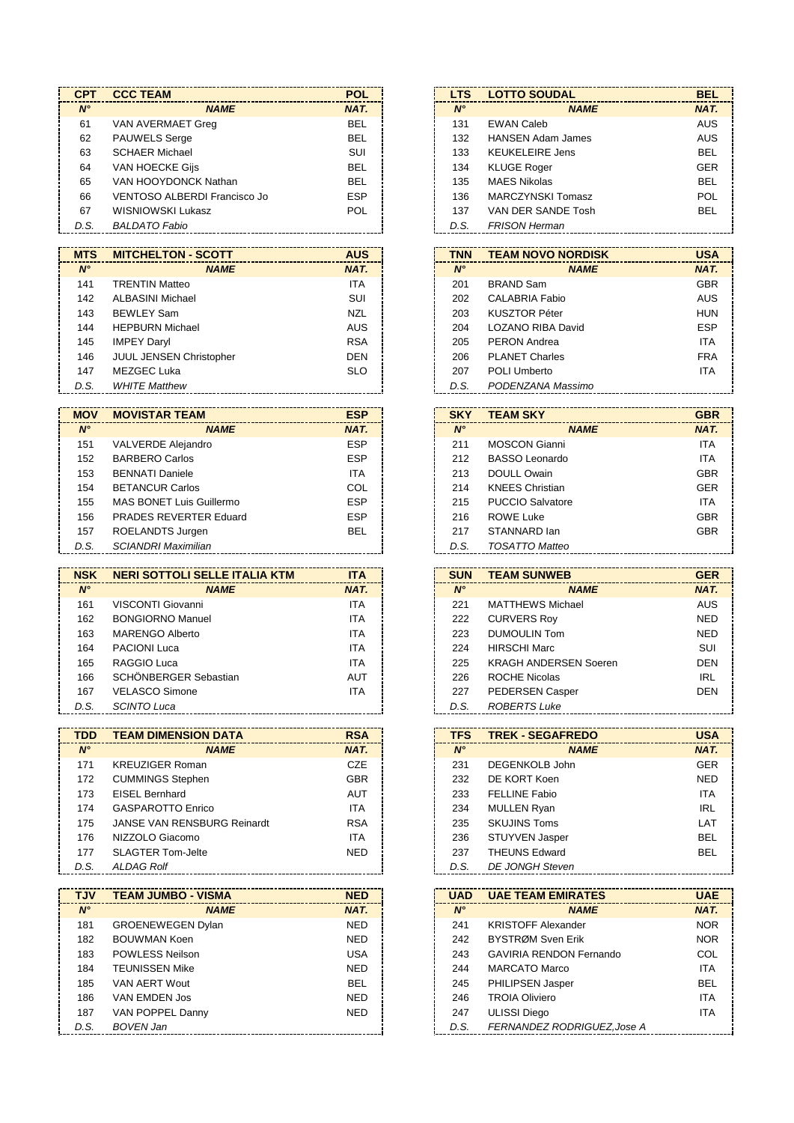| <b>CPT</b>  | <b>CCC TEAM</b>              | <b>POL</b> |
|-------------|------------------------------|------------|
| $N^{\circ}$ | <b>NAME</b>                  | NAT.       |
| 61          | VAN AVERMAET Greg            | <b>BEL</b> |
| 62          | <b>PAUWELS Serge</b>         | <b>BEL</b> |
| 63          | <b>SCHAER Michael</b>        | <b>SUI</b> |
| 64          | VAN HOECKE Gijs              | <b>BEL</b> |
| 65          | VAN HOOYDONCK Nathan         | <b>BEL</b> |
| 66          | VENTOSO ALBERDI Francisco Jo | <b>ESP</b> |
| 67          | WISNIOWSKI Lukasz            | <b>POL</b> |
| D.S.        | <b>BALDATO Fabio</b>         |            |

| <b>MTS</b>  | <b>MITCHELTON - SCOTT</b>      | <b>AUS</b> |
|-------------|--------------------------------|------------|
| $N^{\circ}$ | <b>NAME</b>                    | NAT.       |
| 141         | <b>TRENTIN Matteo</b>          | <b>ITA</b> |
| 142         | ALBASINI Michael               | <b>SUI</b> |
| 143         | <b>BEWLEY Sam</b>              | <b>NZL</b> |
| 144         | <b>HEPBURN Michael</b>         | <b>AUS</b> |
| 145         | <b>IMPEY Daryl</b>             | <b>RSA</b> |
| 146         | <b>JUUL JENSEN Christopher</b> | <b>DEN</b> |
| 147         | <b>MEZGEC Luka</b>             | <b>SLO</b> |
| D.S.        | <b>WHITE Matthew</b>           |            |
|             |                                |            |

| <b>MOV</b>  | <b>MOVISTAR TEAM</b>          | <b>ESP</b> | <b>SKY</b>  | <b>TEAM SKY</b>         | <b>GBR</b> |
|-------------|-------------------------------|------------|-------------|-------------------------|------------|
| $N^{\circ}$ | <b>NAME</b>                   | NAT.       | $N^{\circ}$ | <b>NAME</b>             | NAT.       |
| 151         | <b>VALVERDE Alejandro</b>     | <b>ESP</b> | 211         | <b>MOSCON Gianni</b>    | <b>ITA</b> |
| 152         | <b>BARBERO Carlos</b>         | <b>ESP</b> | 212         | <b>BASSO Leonardo</b>   | <b>ITA</b> |
| 153         | <b>BENNATI Daniele</b>        | <b>ITA</b> | 213         | <b>DOULL Owain</b>      | <b>GBR</b> |
| 154         | <b>BETANCUR Carlos</b>        | COL        | 214         | <b>KNEES Christian</b>  | <b>GER</b> |
| 155         | MAS BONET Luis Guillermo      | <b>ESP</b> | 215         | <b>PUCCIO Salvatore</b> | <b>ITA</b> |
| 156         | <b>PRADES REVERTER Eduard</b> | <b>ESP</b> | 216         | <b>ROWE Luke</b>        | <b>GBR</b> |
| 157         | ROELANDTS Jurgen              | <b>BEL</b> | 217         | STANNARD lan            | <b>GBR</b> |
| D.S.        | <b>SCIANDRI Maximilian</b>    |            | D.S.        | <b>TOSATTO Matteo</b>   |            |

| <b>NSK</b>  | <b>NERI SOTTOLI SELLE ITALIA KTM</b> | <b>ITA</b> | <b>SUN</b>  | <b>TEAM SUNWEB</b>           | <b>GER</b> |
|-------------|--------------------------------------|------------|-------------|------------------------------|------------|
| $N^{\circ}$ | <b>NAME</b>                          | NAT.       | $N^{\circ}$ | <b>NAME</b>                  | NAT.       |
| 161         | VISCONTI Giovanni                    | <b>ITA</b> | 221         | <b>MATTHEWS Michael</b>      | AUS        |
| 162         | <b>BONGIORNO Manuel</b>              | <b>ITA</b> | 222         | <b>CURVERS Roy</b>           | <b>NED</b> |
| 163         | <b>MARENGO Alberto</b>               | <b>ITA</b> | 223         | <b>DUMOULIN Tom</b>          | <b>NED</b> |
| 164         | <b>PACIONI Luca</b>                  | <b>ITA</b> | 224         | <b>HIRSCHI Marc</b>          | SUI        |
| 165         | RAGGIO Luca                          | <b>ITA</b> | 225         | <b>KRAGH ANDERSEN Soeren</b> | <b>DEN</b> |
| 166         | SCHÖNBERGER Sebastian                | <b>AUT</b> | 226         | <b>ROCHE Nicolas</b>         | IRL        |
| 167         | <b>VELASCO Simone</b>                | <b>ITA</b> | 227         | <b>PEDERSEN Casper</b>       | <b>DEN</b> |
| D.S.        | SCINTO Luca                          |            | D.S.        | <b>ROBERTS Luke</b>          |            |

| <b>TDD</b>  | <b>TEAM DIMENSION DATA</b>         | <b>RSA</b> |
|-------------|------------------------------------|------------|
| $N^{\circ}$ | <b>NAME</b>                        | NAT.       |
| 171         | <b>KREUZIGER Roman</b>             | <b>CZE</b> |
| 172         | <b>CUMMINGS Stephen</b>            | <b>GBR</b> |
| 173         | <b>EISEL Bernhard</b>              | <b>AUT</b> |
| 174         | GASPAROTTO Enrico                  | <b>ITA</b> |
| 175         | <b>JANSE VAN RENSBURG Reinardt</b> | <b>RSA</b> |
| 176         | NIZZOLO Giacomo                    | <b>ITA</b> |
| 177         | <b>SLAGTER Tom-Jelte</b>           | NED.       |
| D.S.        | <b>ALDAG Rolf</b>                  |            |

| <b>TEAM JUMBO - VISMA</b> | <b>NED</b> | <b>UAD</b>  | <b>UAE TEAM EMIRATES</b>       |
|---------------------------|------------|-------------|--------------------------------|
| <b>NAME</b>               | NAT.       | $N^{\circ}$ | <b>NAME</b>                    |
| <b>GROENEWEGEN Dylan</b>  | <b>NED</b> | 241         | <b>KRISTOFF Alexander</b>      |
| <b>BOUWMAN Koen</b>       | <b>NED</b> | 242         | BYSTRØM Sven Erik              |
| <b>POWLESS Neilson</b>    | <b>USA</b> | 243         | <b>GAVIRIA RENDON Fernando</b> |
| <b>TEUNISSEN Mike</b>     | <b>NED</b> | 244         | <b>MARCATO Marco</b>           |
| VAN AERT Wout             | <b>BEL</b> | 245         | <b>PHILIPSEN Jasper</b>        |
| VAN EMDEN Jos             | <b>NED</b> | 246         | <b>TROIA Oliviero</b>          |
| VAN POPPEL Danny          | <b>NED</b> | 247         | <b>ULISSI Diego</b>            |
| <b>BOVEN Jan</b>          |            | D.S.        | FERNANDEZ RODRIGUEZ, Jose A    |
|                           |            |             |                                |

| <b>LTS</b>  | <b>LOTTO SOUDAL</b>      | <b>BEL</b> |
|-------------|--------------------------|------------|
| $N^{\circ}$ | <b>NAME</b>              | NAT.       |
| 131         | <b>EWAN Caleb</b>        | AUS        |
| 132         | <b>HANSEN Adam James</b> | AUS        |
| 133         | <b>KEUKELEIRE Jens</b>   | <b>BEL</b> |
| 134         | <b>KLUGE Roger</b>       | <b>GER</b> |
| 135         | <b>MAES Nikolas</b>      | <b>BEL</b> |
| 136         | <b>MARCZYNSKI Tomasz</b> | POL        |
| 137         | VAN DER SANDE Tosh       | BEL        |
| D.S.        | <b>FRISON Herman</b>     |            |

| TNN         | <b>TEAM NOVO NORDISK</b> | <b>USA</b> |
|-------------|--------------------------|------------|
| $N^{\circ}$ | <b>NAME</b>              | NAT.       |
| 201         | <b>BRAND Sam</b>         | <b>GBR</b> |
| 202         | CALABRIA Fabio           | AUS        |
| 203         | KUSZTOR Péter            | HUN        |
| 204         | LOZANO RIBA David        | ESP        |
| 205         | PFRON Andrea             | <b>ITA</b> |
| 206         | <b>PI ANFT Charles</b>   | <b>FRA</b> |
| 207         | POLI Umberto             | <b>ITA</b> |
| D.S.        | PODENZANA Massimo        |            |

| SKY         | <b>TEAM SKY</b>         | <b>GBR</b> |
|-------------|-------------------------|------------|
| $N^{\circ}$ | <b>NAME</b>             | NAT.       |
| 211         | MOSCON Gianni           | <b>ITA</b> |
| 212         | <b>BASSO Leonardo</b>   | <b>ITA</b> |
| 213         | <b>DOULL Owain</b>      | <b>GBR</b> |
| 214         | <b>KNEES Christian</b>  | <b>GER</b> |
| 215         | <b>PUCCIO Salvatore</b> | <b>ITA</b> |
| 216         | <b>ROWE Luke</b>        | <b>GBR</b> |
| 217         | STANNARD lan            | <b>GBR</b> |
| D.S.        | TOSATTO Matteo          |            |

| <b>SUN</b>  | <b>TEAM SUNWEB</b>           | <b>GER</b> |
|-------------|------------------------------|------------|
| $N^{\circ}$ | <b>NAME</b>                  | NAT.       |
| 221         | <b>MATTHEWS Michael</b>      | AUS        |
| 222         | <b>CURVERS Roy</b>           | <b>NED</b> |
| 223         | <b>DUMOULIN Tom</b>          | <b>NED</b> |
| 224         | <b>HIRSCHI Marc</b>          | SUI        |
| 225         | <b>KRAGH ANDERSEN Soeren</b> | <b>DEN</b> |
| 226         | ROCHE Nicolas                | <b>IRL</b> |
| 227         | <b>PEDERSEN Casper</b>       | <b>DEN</b> |
| D.S.        | <b>ROBERTS Luke</b>          |            |

| <b>TFS</b>  | <b>TREK - SEGAFREDO</b> | <b>USA</b> |
|-------------|-------------------------|------------|
| $N^{\circ}$ | <b>NAME</b>             | NAT.       |
| 231         | DEGENKOLB John          | GER        |
| 232         | DE KORT Koen            | <b>NED</b> |
| 233         | <b>FELLINE Fabio</b>    | <b>ITA</b> |
| 234         | <b>MULLEN Ryan</b>      | <b>IRL</b> |
| 235         | <b>SKUJINS Toms</b>     | LAT        |
| 236         | <b>STUYVEN Jasper</b>   | <b>BEL</b> |
| 237         | <b>THEUNS Edward</b>    | <b>BEL</b> |
| D.S.        | DE JONGH Steven         |            |

| <b>UAD</b>  | <b>UAE TEAM EMIRATES</b>       | <b>UAE</b> |
|-------------|--------------------------------|------------|
| $N^{\circ}$ | <b>NAME</b>                    | NAT.       |
| 241         | <b>KRISTOFF Alexander</b>      | <b>NOR</b> |
| 242         | BYSTRØM Sven Erik              | <b>NOR</b> |
| 243         | <b>GAVIRIA RENDON Fernando</b> | COL        |
| 244         | <b>MARCATO Marco</b>           | <b>ITA</b> |
| 245         | <b>PHILIPSEN Jasper</b>        | BEL        |
| 246         | <b>TROIA Oliviero</b>          | <b>ITA</b> |
| 247         | <b>ULISSI Diego</b>            | ITA        |
| D.S.        | FERNANDEZ RODRIGUEZ, Jose A    |            |